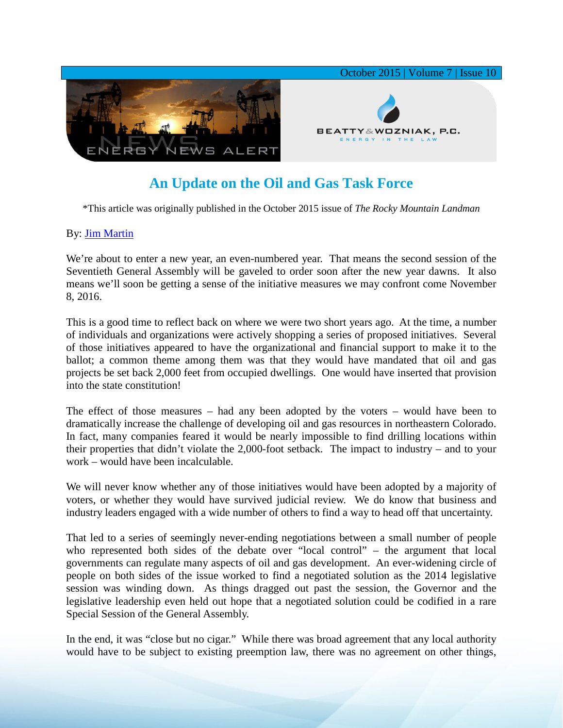

## **An Update on the Oil and Gas Task Force**

\*This article was originally published in the October 2015 issue of *The Rocky Mountain Landman*

## By: [Jim Martin](http://www.bwenergylaw.com/#!jim-martin/cqkh)

We're about to enter a new year, an even-numbered year. That means the second session of the Seventieth General Assembly will be gaveled to order soon after the new year dawns. It also means we'll soon be getting a sense of the initiative measures we may confront come November 8, 2016.

This is a good time to reflect back on where we were two short years ago. At the time, a number of individuals and organizations were actively shopping a series of proposed initiatives. Several of those initiatives appeared to have the organizational and financial support to make it to the ballot; a common theme among them was that they would have mandated that oil and gas projects be set back 2,000 feet from occupied dwellings. One would have inserted that provision into the state constitution!

The effect of those measures – had any been adopted by the voters – would have been to dramatically increase the challenge of developing oil and gas resources in northeastern Colorado. In fact, many companies feared it would be nearly impossible to find drilling locations within their properties that didn't violate the 2,000-foot setback. The impact to industry – and to your work – would have been incalculable.

We will never know whether any of those initiatives would have been adopted by a majority of voters, or whether they would have survived judicial review. We do know that business and industry leaders engaged with a wide number of others to find a way to head off that uncertainty.

That led to a series of seemingly never-ending negotiations between a small number of people who represented both sides of the debate over "local control" – the argument that local governments can regulate many aspects of oil and gas development. An ever-widening circle of people on both sides of the issue worked to find a negotiated solution as the 2014 legislative session was winding down. As things dragged out past the session, the Governor and the legislative leadership even held out hope that a negotiated solution could be codified in a rare Special Session of the General Assembly.

In the end, it was "close but no cigar." While there was broad agreement that any local authority would have to be subject to existing preemption law, there was no agreement on other things,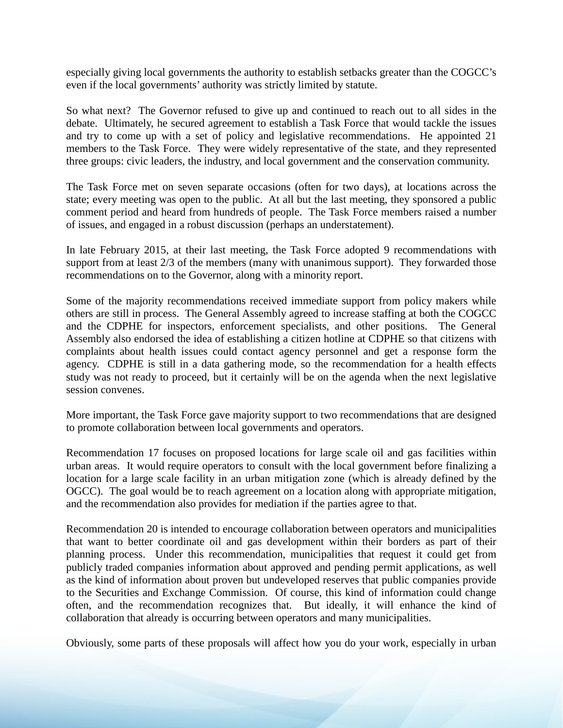especially giving local governments the authority to establish setbacks greater than the COGCC's even if the local governments' authority was strictly limited by statute.

So what next? The Governor refused to give up and continued to reach out to all sides in the debate. Ultimately, he secured agreement to establish a Task Force that would tackle the issues and try to come up with a set of policy and legislative recommendations. He appointed 21 members to the Task Force. They were widely representative of the state, and they represented three groups: civic leaders, the industry, and local government and the conservation community.

The Task Force met on seven separate occasions (often for two days), at locations across the state; every meeting was open to the public. At all but the last meeting, they sponsored a public comment period and heard from hundreds of people. The Task Force members raised a number of issues, and engaged in a robust discussion (perhaps an understatement).

In late February 2015, at their last meeting, the Task Force adopted 9 recommendations with support from at least 2/3 of the members (many with unanimous support). They forwarded those recommendations on to the Governor, along with a minority report.

Some of the majority recommendations received immediate support from policy makers while others are still in process. The General Assembly agreed to increase staffing at both the COGCC and the CDPHE for inspectors, enforcement specialists, and other positions. The General Assembly also endorsed the idea of establishing a citizen hotline at CDPHE so that citizens with complaints about health issues could contact agency personnel and get a response form the agency. CDPHE is still in a data gathering mode, so the recommendation for a health effects study was not ready to proceed, but it certainly will be on the agenda when the next legislative session convenes.

More important, the Task Force gave majority support to two recommendations that are designed to promote collaboration between local governments and operators.

Recommendation 17 focuses on proposed locations for large scale oil and gas facilities within urban areas. It would require operators to consult with the local government before finalizing a location for a large scale facility in an urban mitigation zone (which is already defined by the OGCC). The goal would be to reach agreement on a location along with appropriate mitigation, and the recommendation also provides for mediation if the parties agree to that.

Recommendation 20 is intended to encourage collaboration between operators and municipalities that want to better coordinate oil and gas development within their borders as part of their planning process. Under this recommendation, municipalities that request it could get from publicly traded companies information about approved and pending permit applications, as well as the kind of information about proven but undeveloped reserves that public companies provide to the Securities and Exchange Commission. Of course, this kind of information could change often, and the recommendation recognizes that. But ideally, it will enhance the kind of collaboration that already is occurring between operators and many municipalities.

Obviously, some parts of these proposals will affect how you do your work, especially in urban